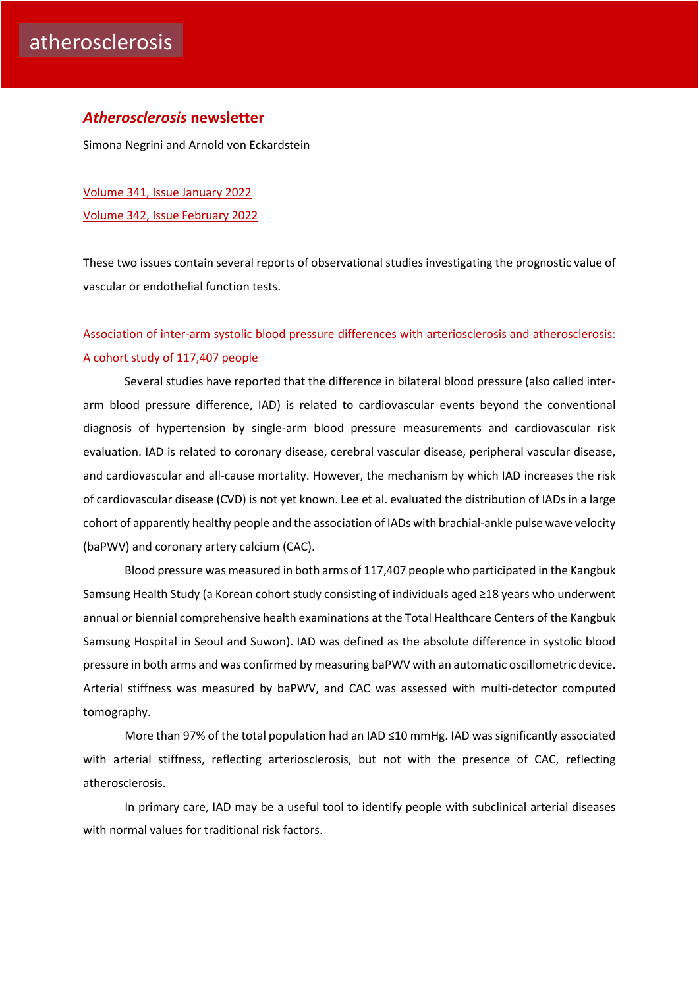#### *Atherosclerosis* **newsletter**

Simona Negrini and Arnold von Eckardstein

[Volume 341, Issue January](https://www.atherosclerosis-journal.com/issue/S0021-9150(21)X0024-X) 2022 [Volume 342, Issue February 2022](https://www.atherosclerosis-journal.com/issue/S0021-9150(21)X0025-1)

These two issues contain several reports of observational studies investigating the prognostic value of vascular or endothelial function tests.

# [Association of inter-arm systolic blood pressure differences with arteriosclerosis and atherosclerosis:](https://click.notification.elsevier.com/CL0/https:%2F%2Fwww.atherosclerosis-journal.com%2Farticle%2FS0021-9150(21)01486-6%2Ffulltext%3Fdgcid=raven_jbs_etoc_email/1/0100017e944d2056-7b78df4f-7c89-4814-8dcf-c68cd12c018a-000000/T4P0A9hGsZLe4KhIG-gTHEJNSqd1zAB0NomCLgJgODE=234)  [A cohort study of 117,407 people](https://click.notification.elsevier.com/CL0/https:%2F%2Fwww.atherosclerosis-journal.com%2Farticle%2FS0021-9150(21)01486-6%2Ffulltext%3Fdgcid=raven_jbs_etoc_email/1/0100017e944d2056-7b78df4f-7c89-4814-8dcf-c68cd12c018a-000000/T4P0A9hGsZLe4KhIG-gTHEJNSqd1zAB0NomCLgJgODE=234)

Several studies have reported that the difference in bilateral blood pressure (also called interarm blood pressure difference, IAD) is related to cardiovascular events beyond the conventional diagnosis of hypertension by single-arm blood pressure measurements and cardiovascular risk evaluation. IAD is related to coronary disease, cerebral vascular disease, peripheral vascular disease, and cardiovascular and all-cause mortality. However, the mechanism by which IAD increases the risk of cardiovascular disease (CVD) is not yet known. Lee et al. evaluated the distribution of IADs in a large cohort of apparently healthy people and the association of IADs with brachial-ankle pulse wave velocity (baPWV) and coronary artery calcium (CAC).

Blood pressure was measured in both arms of 117,407 people who participated in the Kangbuk Samsung Health Study (a Korean cohort study consisting of individuals aged ≥18 years who underwent annual or biennial comprehensive health examinations at the Total Healthcare Centers of the Kangbuk Samsung Hospital in Seoul and Suwon). IAD was defined as the absolute difference in systolic blood pressure in both arms and was confirmed by measuring baPWV with an automatic oscillometric device. Arterial stiffness was measured by baPWV, and CAC was assessed with multi-detector computed tomography.

More than 97% of the total population had an IAD ≤10 mmHg. IAD was significantly associated with arterial stiffness, reflecting arteriosclerosis, but not with the presence of CAC, reflecting atherosclerosis.

In primary care, IAD may be a useful tool to identify people with subclinical arterial diseases with normal values for traditional risk factors.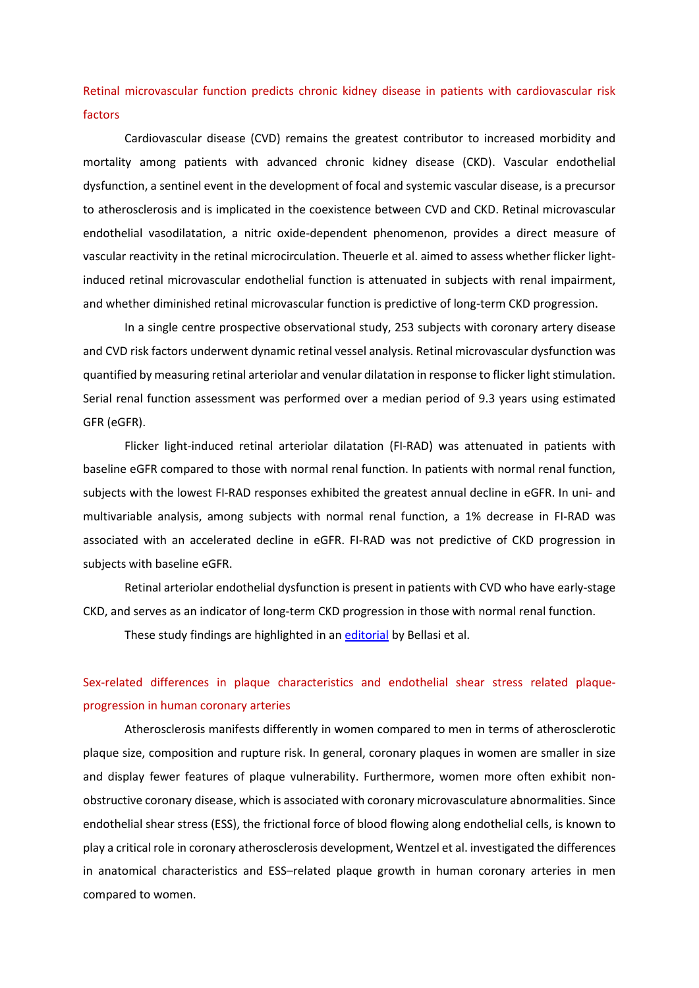[Retinal microvascular function predicts chronic kidney disease in patients with cardiovascular risk](https://click.notification.elsevier.com/CL0/https:%2F%2Fwww.atherosclerosis-journal.com%2Farticle%2FS0021-9150(21)01392-7%2Ffulltext%3Fdgcid=raven_jbs_etoc_email/1/0100017e46e2dca4-4421c0ef-ba82-4efa-8c72-6e868e54ebe1-000000/9WOqPe7tCybSJLMMMTPvG8ulkmT9LJCV_HZTXFGaQfo=230)  [factors](https://click.notification.elsevier.com/CL0/https:%2F%2Fwww.atherosclerosis-journal.com%2Farticle%2FS0021-9150(21)01392-7%2Ffulltext%3Fdgcid=raven_jbs_etoc_email/1/0100017e46e2dca4-4421c0ef-ba82-4efa-8c72-6e868e54ebe1-000000/9WOqPe7tCybSJLMMMTPvG8ulkmT9LJCV_HZTXFGaQfo=230) 

Cardiovascular disease (CVD) remains the greatest contributor to increased morbidity and mortality among patients with advanced chronic kidney disease (CKD). Vascular endothelial dysfunction, a sentinel event in the development of focal and systemic vascular disease, is a precursor to atherosclerosis and is implicated in the coexistence between CVD and CKD. Retinal microvascular endothelial vasodilatation, a nitric oxide-dependent phenomenon, provides a direct measure of vascular reactivity in the retinal microcirculation. Theuerle et al. aimed to assess whether flicker lightinduced retinal microvascular endothelial function is attenuated in subjects with renal impairment, and whether diminished retinal microvascular function is predictive of long-term CKD progression.

In a single centre prospective observational study, 253 subjects with coronary artery disease and CVD risk factors underwent dynamic retinal vessel analysis. Retinal microvascular dysfunction was quantified by measuring retinal arteriolar and venular dilatation in response to flicker light stimulation. Serial renal function assessment was performed over a median period of 9.3 years using estimated GFR (eGFR).

Flicker light-induced retinal arteriolar dilatation (FI-RAD) was attenuated in patients with baseline eGFR compared to those with normal renal function. In patients with normal renal function, subjects with the lowest FI-RAD responses exhibited the greatest annual decline in eGFR. In uni- and multivariable analysis, among subjects with normal renal function, a 1% decrease in FI-RAD was associated with an accelerated decline in eGFR. FI-RAD was not predictive of CKD progression in subjects with baseline eGFR.

Retinal arteriolar endothelial dysfunction is present in patients with CVD who have early-stage CKD, and serves as an indicator of long-term CKD progression in those with normal renal function.

These study findings are highlighted in an [editorial](https://www.atherosclerosis-journal.com/article/S0021-9150(21)01462-3/fulltext) by Bellasi et al.

# [Sex-related differences in plaque characteristics and endothelial shear stress related plaque](https://click.notification.elsevier.com/CL0/https:%2F%2Fwww.atherosclerosis-journal.com%2Farticle%2FS0021-9150(21)01511-2%2Ffulltext%3Fdgcid=raven_jbs_etoc_email/1/0100017e944d2056-7b78df4f-7c89-4814-8dcf-c68cd12c018a-000000/uNmVSDWq1BmOSLwjsNINTHYfZea8z2db1mH_FdqJo8o=234)[progression in human coronary arteries](https://click.notification.elsevier.com/CL0/https:%2F%2Fwww.atherosclerosis-journal.com%2Farticle%2FS0021-9150(21)01511-2%2Ffulltext%3Fdgcid=raven_jbs_etoc_email/1/0100017e944d2056-7b78df4f-7c89-4814-8dcf-c68cd12c018a-000000/uNmVSDWq1BmOSLwjsNINTHYfZea8z2db1mH_FdqJo8o=234)

Atherosclerosis manifests differently in women compared to men in terms of atherosclerotic plaque size, composition and rupture risk. In general, coronary plaques in women are smaller in size and display fewer features of plaque vulnerability. Furthermore, women more often exhibit nonobstructive coronary disease, which is associated with coronary microvasculature abnormalities. Since endothelial shear stress (ESS), the frictional force of blood flowing along endothelial cells, is known to play a critical role in coronary atherosclerosis development, Wentzel et al. investigated the differences in anatomical characteristics and ESS–related plaque growth in human coronary arteries in men compared to women.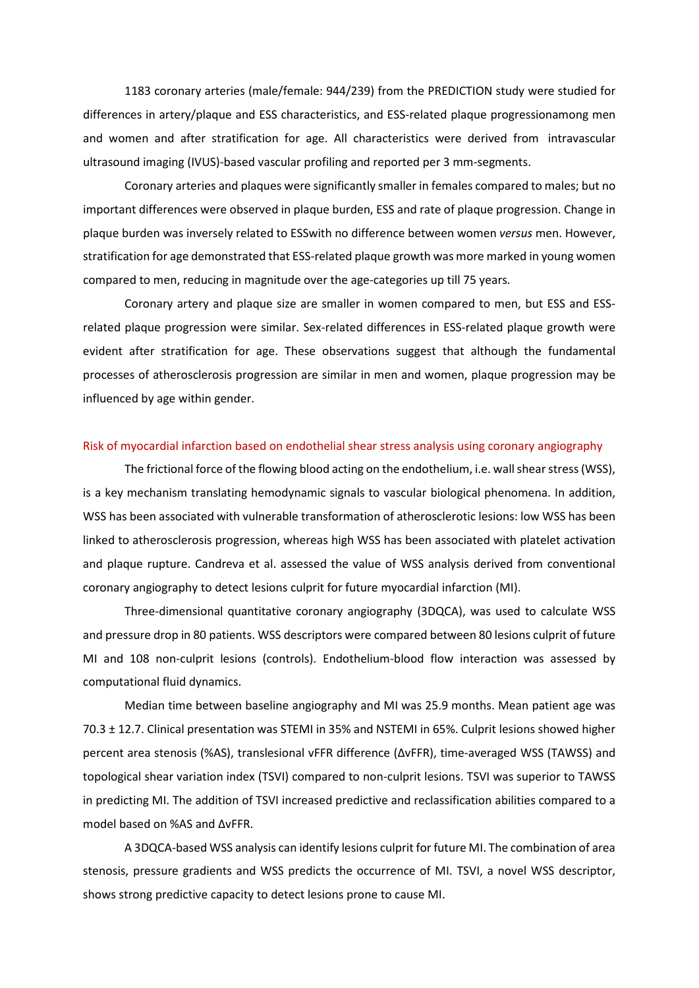1183 coronary arteries (male/female: 944/239) from the PREDICTION study were studied for differences in artery/plaque and ESS characteristics, and ESS-related plaque progressionamong men and women and after stratification for age. All characteristics were derived from intravascular ultrasound imaging (IVUS)-based vascular profiling and reported per 3 mm-segments.

Coronary arteries and plaques were significantly smaller in females compared to males; but no important differences were observed in plaque burden, ESS and rate of plaque progression. Change in plaque burden was inversely related to ESSwith no difference between women *versus* men. However, stratification for age demonstrated that ESS-related plaque growth was more marked in young women compared to men, reducing in magnitude over the age-categories up till 75 years.

Coronary artery and plaque size are smaller in women compared to men, but ESS and ESSrelated plaque progression were similar. Sex-related differences in ESS-related plaque growth were evident after stratification for age. These observations suggest that although the fundamental processes of atherosclerosis progression are similar in men and women, plaque progression may be influenced by age within gender.

#### [Risk of myocardial infarction based on endothelial shear stress analysis using coronary angiography](https://click.notification.elsevier.com/CL0/https:%2F%2Fwww.atherosclerosis-journal.com%2Farticle%2FS0021-9150(21)01437-4%2Ffulltext%3Fdgcid=raven_jbs_etoc_email/1/0100017e944d2056-7b78df4f-7c89-4814-8dcf-c68cd12c018a-000000/ivjqwbLGGAgfpl0fMxz5hwuq0HTrLK7XzFEKNKQk5r4=234)

The frictional force of the flowing blood acting on the endothelium, i.e. wall shear stress (WSS), is a key mechanism translating hemodynamic signals to vascular biological phenomena. In addition, WSS has been associated with vulnerable transformation of atherosclerotic lesions: low WSS has been linked to atherosclerosis progression, whereas high WSS has been associated with platelet activation and plaque rupture. Candreva et al. assessed the value of WSS analysis derived from conventional coronary angiography to detect lesions culprit for future myocardial infarction (MI).

Three-dimensional quantitative coronary angiography (3DQCA), was used to calculate WSS and pressure drop in 80 patients. WSS descriptors were compared between 80 lesions culprit of future MI and 108 non-culprit lesions (controls). Endothelium-blood flow interaction was assessed by computational fluid dynamics.

Median time between baseline angiography and MI was 25.9 months. Mean patient age was 70.3 ± 12.7. Clinical presentation was STEMI in 35% and NSTEMI in 65%. Culprit lesions showed higher percent area stenosis (%AS), translesional vFFR difference (ΔvFFR), time-averaged WSS (TAWSS) and topological shear variation index (TSVI) compared to non-culprit lesions. TSVI was superior to TAWSS in predicting MI. The addition of TSVI increased predictive and reclassification abilities compared to a model based on %AS and ΔvFFR.

A 3DQCA-based WSS analysis can identify lesions culprit for future MI. The combination of area stenosis, pressure gradients and WSS predicts the occurrence of MI. TSVI, a novel WSS descriptor, shows strong predictive capacity to detect lesions prone to cause MI.